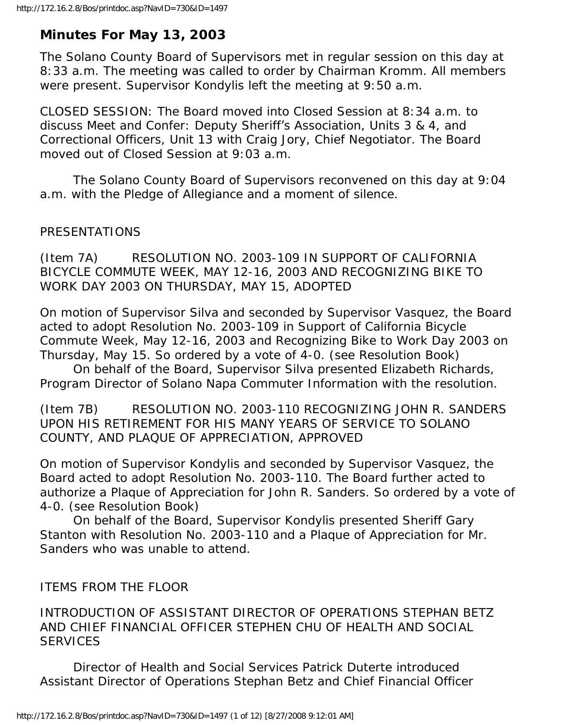# **Minutes For May 13, 2003**

The Solano County Board of Supervisors met in regular session on this day at 8:33 a.m. The meeting was called to order by Chairman Kromm. All members were present. Supervisor Kondylis left the meeting at 9:50 a.m.

CLOSED SESSION: The Board moved into Closed Session at 8:34 a.m. to discuss Meet and Confer: Deputy Sheriff's Association, Units 3 & 4, and Correctional Officers, Unit 13 with Craig Jory, Chief Negotiator. The Board moved out of Closed Session at 9:03 a.m.

 The Solano County Board of Supervisors reconvened on this day at 9:04 a.m. with the Pledge of Allegiance and a moment of silence.

# PRESENTATIONS

(Item 7A) RESOLUTION NO. 2003-109 IN SUPPORT OF CALIFORNIA BICYCLE COMMUTE WEEK, MAY 12-16, 2003 AND RECOGNIZING BIKE TO WORK DAY 2003 ON THURSDAY, MAY 15, ADOPTED

On motion of Supervisor Silva and seconded by Supervisor Vasquez, the Board acted to adopt Resolution No. 2003-109 in Support of California Bicycle Commute Week, May 12-16, 2003 and Recognizing Bike to Work Day 2003 on Thursday, May 15. So ordered by a vote of 4-0. (see Resolution Book)

 On behalf of the Board, Supervisor Silva presented Elizabeth Richards, Program Director of Solano Napa Commuter Information with the resolution.

(Item 7B) RESOLUTION NO. 2003-110 RECOGNIZING JOHN R. SANDERS UPON HIS RETIREMENT FOR HIS MANY YEARS OF SERVICE TO SOLANO COUNTY, AND PLAQUE OF APPRECIATION, APPROVED

On motion of Supervisor Kondylis and seconded by Supervisor Vasquez, the Board acted to adopt Resolution No. 2003-110. The Board further acted to authorize a Plaque of Appreciation for John R. Sanders. So ordered by a vote of 4-0. (see Resolution Book)

 On behalf of the Board, Supervisor Kondylis presented Sheriff Gary Stanton with Resolution No. 2003-110 and a Plaque of Appreciation for Mr. Sanders who was unable to attend.

# ITEMS FROM THE FLOOR

INTRODUCTION OF ASSISTANT DIRECTOR OF OPERATIONS STEPHAN BETZ AND CHIEF FINANCIAL OFFICER STEPHEN CHU OF HEALTH AND SOCIAL **SERVICES** 

 Director of Health and Social Services Patrick Duterte introduced Assistant Director of Operations Stephan Betz and Chief Financial Officer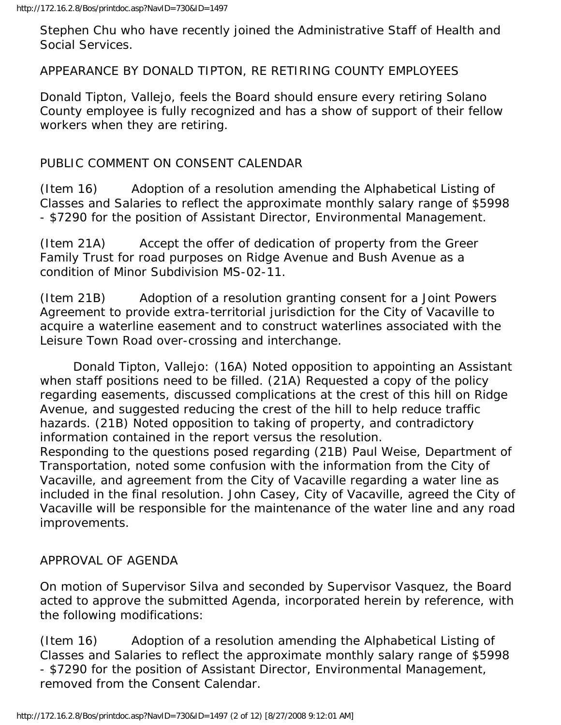Stephen Chu who have recently joined the Administrative Staff of Health and Social Services.

#### APPEARANCE BY DONALD TIPTON, RE RETIRING COUNTY EMPLOYEES

Donald Tipton, Vallejo, feels the Board should ensure every retiring Solano County employee is fully recognized and has a show of support of their fellow workers when they are retiring.

#### PUBLIC COMMENT ON CONSENT CALENDAR

(Item 16) Adoption of a resolution amending the Alphabetical Listing of Classes and Salaries to reflect the approximate monthly salary range of \$5998 - \$7290 for the position of Assistant Director, Environmental Management.

(Item 21A) Accept the offer of dedication of property from the Greer Family Trust for road purposes on Ridge Avenue and Bush Avenue as a condition of Minor Subdivision MS-02-11.

(Item 21B) Adoption of a resolution granting consent for a Joint Powers Agreement to provide extra-territorial jurisdiction for the City of Vacaville to acquire a waterline easement and to construct waterlines associated with the Leisure Town Road over-crossing and interchange.

 Donald Tipton, Vallejo: (16A) Noted opposition to appointing an Assistant when staff positions need to be filled. (21A) Requested a copy of the policy regarding easements, discussed complications at the crest of this hill on Ridge Avenue, and suggested reducing the crest of the hill to help reduce traffic hazards. (21B) Noted opposition to taking of property, and contradictory information contained in the report versus the resolution. Responding to the questions posed regarding (21B) Paul Weise, Department of Transportation, noted some confusion with the information from the City of Vacaville, and agreement from the City of Vacaville regarding a water line as included in the final resolution. John Casey, City of Vacaville, agreed the City of

Vacaville will be responsible for the maintenance of the water line and any road improvements.

#### APPROVAL OF AGENDA

On motion of Supervisor Silva and seconded by Supervisor Vasquez, the Board acted to approve the submitted Agenda, incorporated herein by reference, with the following modifications:

(Item 16) Adoption of a resolution amending the Alphabetical Listing of Classes and Salaries to reflect the approximate monthly salary range of \$5998 - \$7290 for the position of Assistant Director, Environmental Management, removed from the Consent Calendar.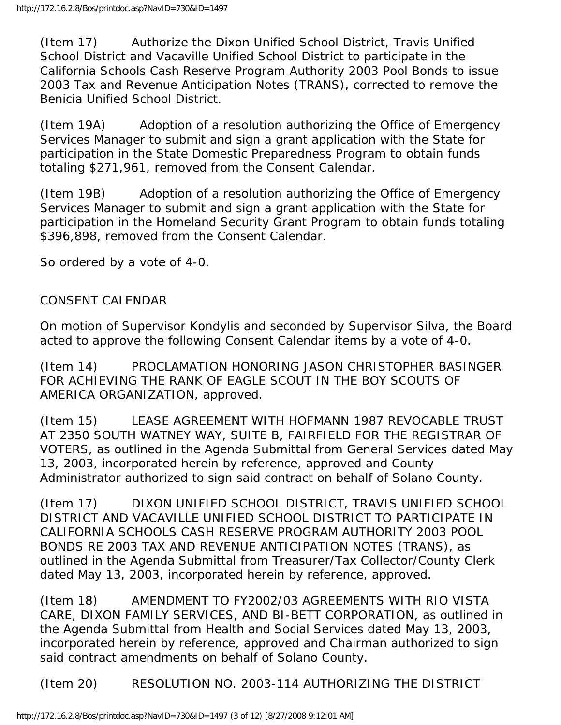(Item 17) Authorize the Dixon Unified School District, Travis Unified School District and Vacaville Unified School District to participate in the California Schools Cash Reserve Program Authority 2003 Pool Bonds to issue 2003 Tax and Revenue Anticipation Notes (TRANS), corrected to remove the Benicia Unified School District.

(Item 19A) Adoption of a resolution authorizing the Office of Emergency Services Manager to submit and sign a grant application with the State for participation in the State Domestic Preparedness Program to obtain funds totaling \$271,961, removed from the Consent Calendar.

(Item 19B) Adoption of a resolution authorizing the Office of Emergency Services Manager to submit and sign a grant application with the State for participation in the Homeland Security Grant Program to obtain funds totaling \$396,898, removed from the Consent Calendar.

So ordered by a vote of 4-0.

#### CONSENT CALENDAR

On motion of Supervisor Kondylis and seconded by Supervisor Silva, the Board acted to approve the following Consent Calendar items by a vote of 4-0.

(Item 14) PROCLAMATION HONORING JASON CHRISTOPHER BASINGER FOR ACHIEVING THE RANK OF EAGLE SCOUT IN THE BOY SCOUTS OF AMERICA ORGANIZATION, approved.

(Item 15) LEASE AGREEMENT WITH HOFMANN 1987 REVOCABLE TRUST AT 2350 SOUTH WATNEY WAY, SUITE B, FAIRFIELD FOR THE REGISTRAR OF VOTERS, as outlined in the Agenda Submittal from General Services dated May 13, 2003, incorporated herein by reference, approved and County Administrator authorized to sign said contract on behalf of Solano County.

(Item 17) DIXON UNIFIED SCHOOL DISTRICT, TRAVIS UNIFIED SCHOOL DISTRICT AND VACAVILLE UNIFIED SCHOOL DISTRICT TO PARTICIPATE IN CALIFORNIA SCHOOLS CASH RESERVE PROGRAM AUTHORITY 2003 POOL BONDS RE 2003 TAX AND REVENUE ANTICIPATION NOTES (TRANS), as outlined in the Agenda Submittal from Treasurer/Tax Collector/County Clerk dated May 13, 2003, incorporated herein by reference, approved.

(Item 18) AMENDMENT TO FY2002/03 AGREEMENTS WITH RIO VISTA CARE, DIXON FAMILY SERVICES, AND BI-BETT CORPORATION, as outlined in the Agenda Submittal from Health and Social Services dated May 13, 2003, incorporated herein by reference, approved and Chairman authorized to sign said contract amendments on behalf of Solano County.

(Item 20) RESOLUTION NO. 2003-114 AUTHORIZING THE DISTRICT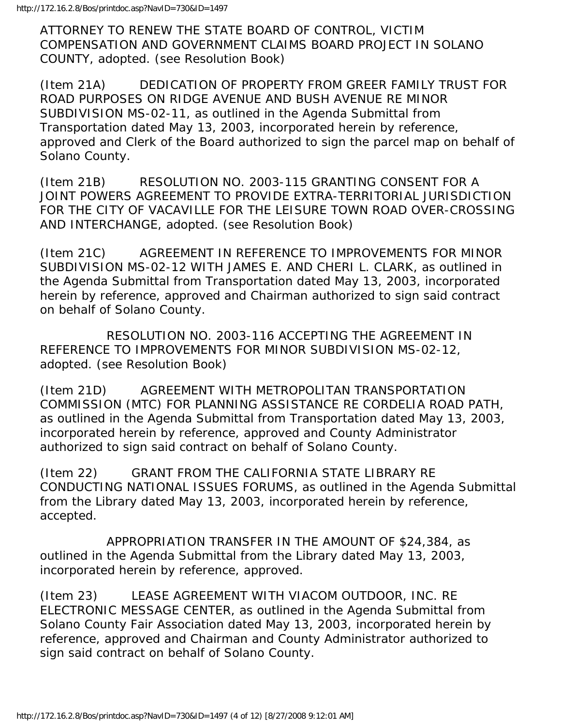ATTORNEY TO RENEW THE STATE BOARD OF CONTROL, VICTIM COMPENSATION AND GOVERNMENT CLAIMS BOARD PROJECT IN SOLANO COUNTY, adopted. (see Resolution Book)

(Item 21A) DEDICATION OF PROPERTY FROM GREER FAMILY TRUST FOR ROAD PURPOSES ON RIDGE AVENUE AND BUSH AVENUE RE MINOR SUBDIVISION MS-02-11, as outlined in the Agenda Submittal from Transportation dated May 13, 2003, incorporated herein by reference, approved and Clerk of the Board authorized to sign the parcel map on behalf of Solano County.

(Item 21B) RESOLUTION NO. 2003-115 GRANTING CONSENT FOR A JOINT POWERS AGREEMENT TO PROVIDE EXTRA-TERRITORIAL JURISDICTION FOR THE CITY OF VACAVILLE FOR THE LEISURE TOWN ROAD OVER-CROSSING AND INTERCHANGE, adopted. (see Resolution Book)

(Item 21C) AGREEMENT IN REFERENCE TO IMPROVEMENTS FOR MINOR SUBDIVISION MS-02-12 WITH JAMES E. AND CHERI L. CLARK, as outlined in the Agenda Submittal from Transportation dated May 13, 2003, incorporated herein by reference, approved and Chairman authorized to sign said contract on behalf of Solano County.

 RESOLUTION NO. 2003-116 ACCEPTING THE AGREEMENT IN REFERENCE TO IMPROVEMENTS FOR MINOR SUBDIVISION MS-02-12, adopted. (see Resolution Book)

(Item 21D) AGREEMENT WITH METROPOLITAN TRANSPORTATION COMMISSION (MTC) FOR PLANNING ASSISTANCE RE CORDELIA ROAD PATH, as outlined in the Agenda Submittal from Transportation dated May 13, 2003, incorporated herein by reference, approved and County Administrator authorized to sign said contract on behalf of Solano County.

(Item 22) GRANT FROM THE CALIFORNIA STATE LIBRARY RE CONDUCTING NATIONAL ISSUES FORUMS, as outlined in the Agenda Submittal from the Library dated May 13, 2003, incorporated herein by reference, accepted.

 APPROPRIATION TRANSFER IN THE AMOUNT OF \$24,384, as outlined in the Agenda Submittal from the Library dated May 13, 2003, incorporated herein by reference, approved.

(Item 23) LEASE AGREEMENT WITH VIACOM OUTDOOR, INC. RE ELECTRONIC MESSAGE CENTER, as outlined in the Agenda Submittal from Solano County Fair Association dated May 13, 2003, incorporated herein by reference, approved and Chairman and County Administrator authorized to sign said contract on behalf of Solano County.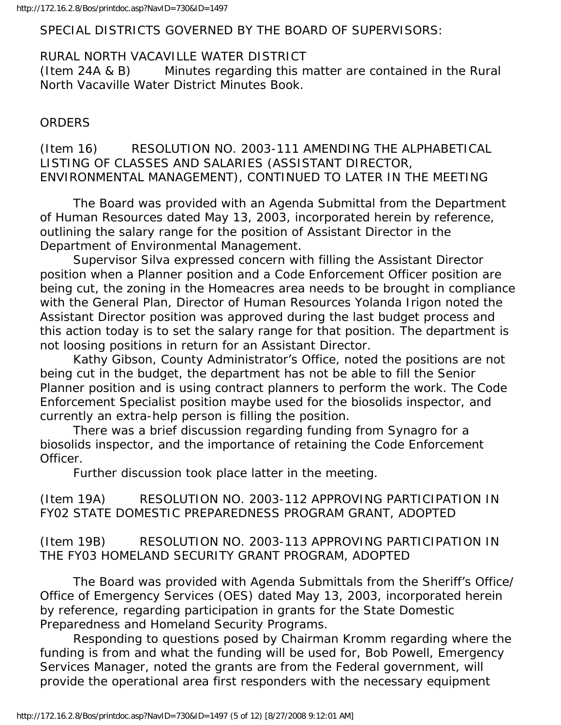#### SPECIAL DISTRICTS GOVERNED BY THE BOARD OF SUPERVISORS:

# RURAL NORTH VACAVILLE WATER DISTRICT

(Item 24A & B) Minutes regarding this matter are contained in the Rural North Vacaville Water District Minutes Book.

#### ORDERS

(Item 16) RESOLUTION NO. 2003-111 AMENDING THE ALPHABETICAL LISTING OF CLASSES AND SALARIES (ASSISTANT DIRECTOR, ENVIRONMENTAL MANAGEMENT), CONTINUED TO LATER IN THE MEETING

 The Board was provided with an Agenda Submittal from the Department of Human Resources dated May 13, 2003, incorporated herein by reference, outlining the salary range for the position of Assistant Director in the Department of Environmental Management.

 Supervisor Silva expressed concern with filling the Assistant Director position when a Planner position and a Code Enforcement Officer position are being cut, the zoning in the Homeacres area needs to be brought in compliance with the General Plan, Director of Human Resources Yolanda Irigon noted the Assistant Director position was approved during the last budget process and this action today is to set the salary range for that position. The department is not loosing positions in return for an Assistant Director.

 Kathy Gibson, County Administrator's Office, noted the positions are not being cut in the budget, the department has not be able to fill the Senior Planner position and is using contract planners to perform the work. The Code Enforcement Specialist position maybe used for the biosolids inspector, and currently an extra-help person is filling the position.

 There was a brief discussion regarding funding from Synagro for a biosolids inspector, and the importance of retaining the Code Enforcement Officer.

Further discussion took place latter in the meeting.

(Item 19A) RESOLUTION NO. 2003-112 APPROVING PARTICIPATION IN FY02 STATE DOMESTIC PREPAREDNESS PROGRAM GRANT, ADOPTED

(Item 19B) RESOLUTION NO. 2003-113 APPROVING PARTICIPATION IN THE FY03 HOMELAND SECURITY GRANT PROGRAM, ADOPTED

 The Board was provided with Agenda Submittals from the Sheriff's Office/ Office of Emergency Services (OES) dated May 13, 2003, incorporated herein by reference, regarding participation in grants for the State Domestic Preparedness and Homeland Security Programs.

 Responding to questions posed by Chairman Kromm regarding where the funding is from and what the funding will be used for, Bob Powell, Emergency Services Manager, noted the grants are from the Federal government, will provide the operational area first responders with the necessary equipment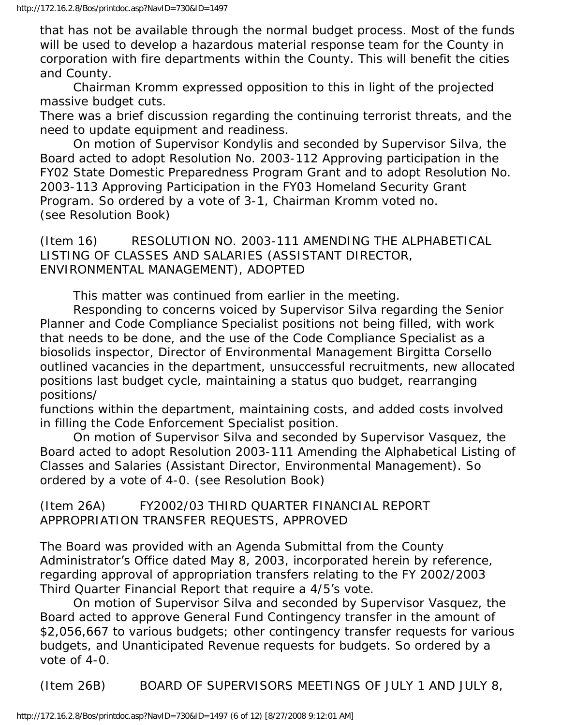that has not be available through the normal budget process. Most of the funds will be used to develop a hazardous material response team for the County in corporation with fire departments within the County. This will benefit the cities and County.

 Chairman Kromm expressed opposition to this in light of the projected massive budget cuts.

There was a brief discussion regarding the continuing terrorist threats, and the need to update equipment and readiness.

 On motion of Supervisor Kondylis and seconded by Supervisor Silva, the Board acted to adopt Resolution No. 2003-112 Approving participation in the FY02 State Domestic Preparedness Program Grant and to adopt Resolution No. 2003-113 Approving Participation in the FY03 Homeland Security Grant Program. So ordered by a vote of 3-1, Chairman Kromm voted no. (see Resolution Book)

(Item 16) RESOLUTION NO. 2003-111 AMENDING THE ALPHABETICAL LISTING OF CLASSES AND SALARIES (ASSISTANT DIRECTOR, ENVIRONMENTAL MANAGEMENT), ADOPTED

This matter was continued from earlier in the meeting.

 Responding to concerns voiced by Supervisor Silva regarding the Senior Planner and Code Compliance Specialist positions not being filled, with work that needs to be done, and the use of the Code Compliance Specialist as a biosolids inspector, Director of Environmental Management Birgitta Corsello outlined vacancies in the department, unsuccessful recruitments, new allocated positions last budget cycle, maintaining a status quo budget, rearranging positions/

functions within the department, maintaining costs, and added costs involved in filling the Code Enforcement Specialist position.

 On motion of Supervisor Silva and seconded by Supervisor Vasquez, the Board acted to adopt Resolution 2003-111 Amending the Alphabetical Listing of Classes and Salaries (Assistant Director, Environmental Management). So ordered by a vote of 4-0. (see Resolution Book)

(Item 26A) FY2002/03 THIRD QUARTER FINANCIAL REPORT APPROPRIATION TRANSFER REQUESTS, APPROVED

The Board was provided with an Agenda Submittal from the County Administrator's Office dated May 8, 2003, incorporated herein by reference, regarding approval of appropriation transfers relating to the FY 2002/2003 Third Quarter Financial Report that require a 4/5's vote.

 On motion of Supervisor Silva and seconded by Supervisor Vasquez, the Board acted to approve General Fund Contingency transfer in the amount of \$2,056,667 to various budgets; other contingency transfer requests for various budgets, and Unanticipated Revenue requests for budgets. So ordered by a vote of 4-0.

(Item 26B) BOARD OF SUPERVISORS MEETINGS OF JULY 1 AND JULY 8,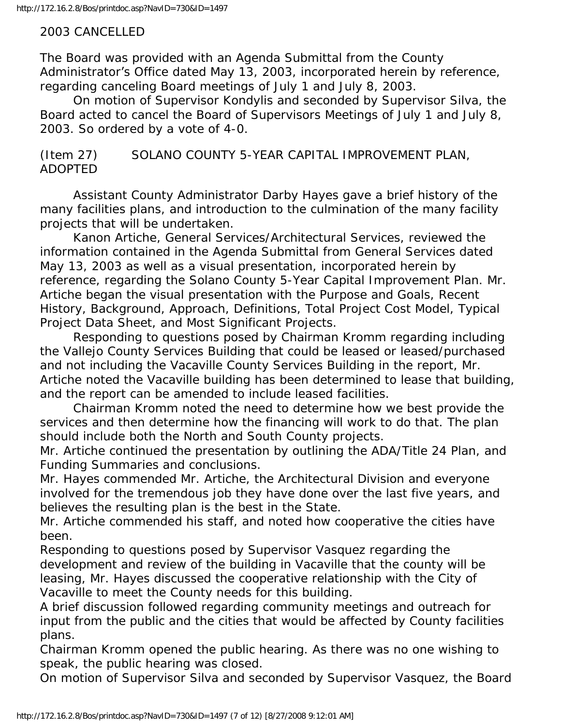## 2003 CANCELLED

The Board was provided with an Agenda Submittal from the County Administrator's Office dated May 13, 2003, incorporated herein by reference, regarding canceling Board meetings of July 1 and July 8, 2003.

 On motion of Supervisor Kondylis and seconded by Supervisor Silva, the Board acted to cancel the Board of Supervisors Meetings of July 1 and July 8, 2003. So ordered by a vote of 4-0.

(Item 27) SOLANO COUNTY 5-YEAR CAPITAL IMPROVEMENT PLAN, ADOPTED

 Assistant County Administrator Darby Hayes gave a brief history of the many facilities plans, and introduction to the culmination of the many facility projects that will be undertaken.

 Kanon Artiche, General Services/Architectural Services, reviewed the information contained in the Agenda Submittal from General Services dated May 13, 2003 as well as a visual presentation, incorporated herein by reference, regarding the Solano County 5-Year Capital Improvement Plan. Mr. Artiche began the visual presentation with the Purpose and Goals, Recent History, Background, Approach, Definitions, Total Project Cost Model, Typical Project Data Sheet, and Most Significant Projects.

 Responding to questions posed by Chairman Kromm regarding including the Vallejo County Services Building that could be leased or leased/purchased and not including the Vacaville County Services Building in the report, Mr. Artiche noted the Vacaville building has been determined to lease that building, and the report can be amended to include leased facilities.

 Chairman Kromm noted the need to determine how we best provide the services and then determine how the financing will work to do that. The plan should include both the North and South County projects.

Mr. Artiche continued the presentation by outlining the ADA/Title 24 Plan, and Funding Summaries and conclusions.

Mr. Hayes commended Mr. Artiche, the Architectural Division and everyone involved for the tremendous job they have done over the last five years, and believes the resulting plan is the best in the State.

Mr. Artiche commended his staff, and noted how cooperative the cities have been.

Responding to questions posed by Supervisor Vasquez regarding the development and review of the building in Vacaville that the county will be leasing, Mr. Hayes discussed the cooperative relationship with the City of Vacaville to meet the County needs for this building.

A brief discussion followed regarding community meetings and outreach for input from the public and the cities that would be affected by County facilities plans.

Chairman Kromm opened the public hearing. As there was no one wishing to speak, the public hearing was closed.

On motion of Supervisor Silva and seconded by Supervisor Vasquez, the Board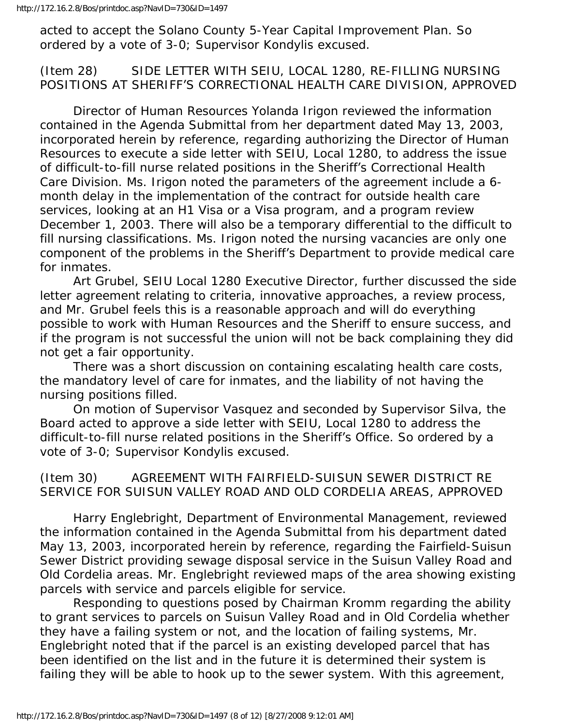acted to accept the Solano County 5-Year Capital Improvement Plan. So ordered by a vote of 3-0; Supervisor Kondylis excused.

# (Item 28) SIDE LETTER WITH SEIU, LOCAL 1280, RE-FILLING NURSING POSITIONS AT SHERIFF'S CORRECTIONAL HEALTH CARE DIVISION, APPROVED

 Director of Human Resources Yolanda Irigon reviewed the information contained in the Agenda Submittal from her department dated May 13, 2003, incorporated herein by reference, regarding authorizing the Director of Human Resources to execute a side letter with SEIU, Local 1280, to address the issue of difficult-to-fill nurse related positions in the Sheriff's Correctional Health Care Division. Ms. Irigon noted the parameters of the agreement include a 6 month delay in the implementation of the contract for outside health care services, looking at an H1 Visa or a Visa program, and a program review December 1, 2003. There will also be a temporary differential to the difficult to fill nursing classifications. Ms. Irigon noted the nursing vacancies are only one component of the problems in the Sheriff's Department to provide medical care for inmates.

 Art Grubel, SEIU Local 1280 Executive Director, further discussed the side letter agreement relating to criteria, innovative approaches, a review process, and Mr. Grubel feels this is a reasonable approach and will do everything possible to work with Human Resources and the Sheriff to ensure success, and if the program is not successful the union will not be back complaining they did not get a fair opportunity.

 There was a short discussion on containing escalating health care costs, the mandatory level of care for inmates, and the liability of not having the nursing positions filled.

 On motion of Supervisor Vasquez and seconded by Supervisor Silva, the Board acted to approve a side letter with SEIU, Local 1280 to address the difficult-to-fill nurse related positions in the Sheriff's Office. So ordered by a vote of 3-0; Supervisor Kondylis excused.

# (Item 30) AGREEMENT WITH FAIRFIELD-SUISUN SEWER DISTRICT RE SERVICE FOR SUISUN VALLEY ROAD AND OLD CORDELIA AREAS, APPROVED

 Harry Englebright, Department of Environmental Management, reviewed the information contained in the Agenda Submittal from his department dated May 13, 2003, incorporated herein by reference, regarding the Fairfield-Suisun Sewer District providing sewage disposal service in the Suisun Valley Road and Old Cordelia areas. Mr. Englebright reviewed maps of the area showing existing parcels with service and parcels eligible for service.

 Responding to questions posed by Chairman Kromm regarding the ability to grant services to parcels on Suisun Valley Road and in Old Cordelia whether they have a failing system or not, and the location of failing systems, Mr. Englebright noted that if the parcel is an existing developed parcel that has been identified on the list and in the future it is determined their system is failing they will be able to hook up to the sewer system. With this agreement,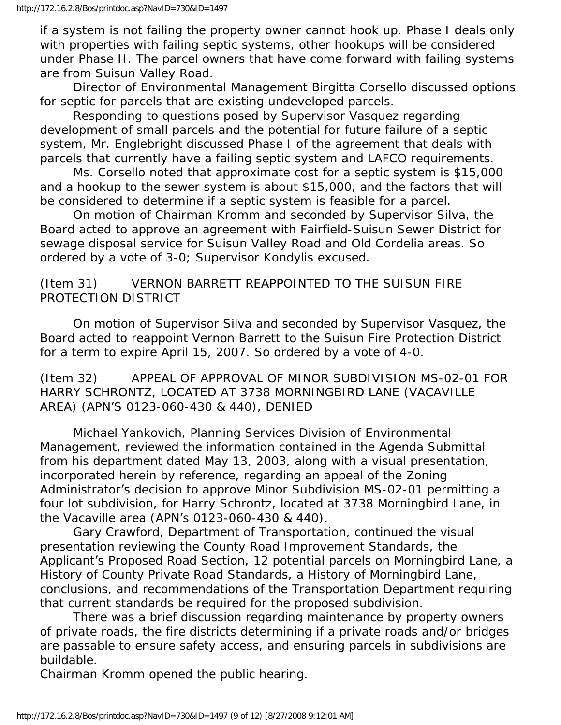if a system is not failing the property owner cannot hook up. Phase I deals only with properties with failing septic systems, other hookups will be considered under Phase II. The parcel owners that have come forward with failing systems are from Suisun Valley Road.

 Director of Environmental Management Birgitta Corsello discussed options for septic for parcels that are existing undeveloped parcels.

 Responding to questions posed by Supervisor Vasquez regarding development of small parcels and the potential for future failure of a septic system, Mr. Englebright discussed Phase I of the agreement that deals with parcels that currently have a failing septic system and LAFCO requirements.

 Ms. Corsello noted that approximate cost for a septic system is \$15,000 and a hookup to the sewer system is about \$15,000, and the factors that will be considered to determine if a septic system is feasible for a parcel.

 On motion of Chairman Kromm and seconded by Supervisor Silva, the Board acted to approve an agreement with Fairfield-Suisun Sewer District for sewage disposal service for Suisun Valley Road and Old Cordelia areas. So ordered by a vote of 3-0; Supervisor Kondylis excused.

# (Item 31) VERNON BARRETT REAPPOINTED TO THE SUISUN FIRE PROTECTION DISTRICT

 On motion of Supervisor Silva and seconded by Supervisor Vasquez, the Board acted to reappoint Vernon Barrett to the Suisun Fire Protection District for a term to expire April 15, 2007. So ordered by a vote of 4-0.

(Item 32) APPEAL OF APPROVAL OF MINOR SUBDIVISION MS-02-01 FOR HARRY SCHRONTZ, LOCATED AT 3738 MORNINGBIRD LANE (VACAVILLE AREA) (APN'S 0123-060-430 & 440), DENIED

 Michael Yankovich, Planning Services Division of Environmental Management, reviewed the information contained in the Agenda Submittal from his department dated May 13, 2003, along with a visual presentation, incorporated herein by reference, regarding an appeal of the Zoning Administrator's decision to approve Minor Subdivision MS-02-01 permitting a four lot subdivision, for Harry Schrontz, located at 3738 Morningbird Lane, in the Vacaville area (APN's 0123-060-430 & 440).

 Gary Crawford, Department of Transportation, continued the visual presentation reviewing the County Road Improvement Standards, the Applicant's Proposed Road Section, 12 potential parcels on Morningbird Lane, a History of County Private Road Standards, a History of Morningbird Lane, conclusions, and recommendations of the Transportation Department requiring that current standards be required for the proposed subdivision.

 There was a brief discussion regarding maintenance by property owners of private roads, the fire districts determining if a private roads and/or bridges are passable to ensure safety access, and ensuring parcels in subdivisions are buildable.

Chairman Kromm opened the public hearing.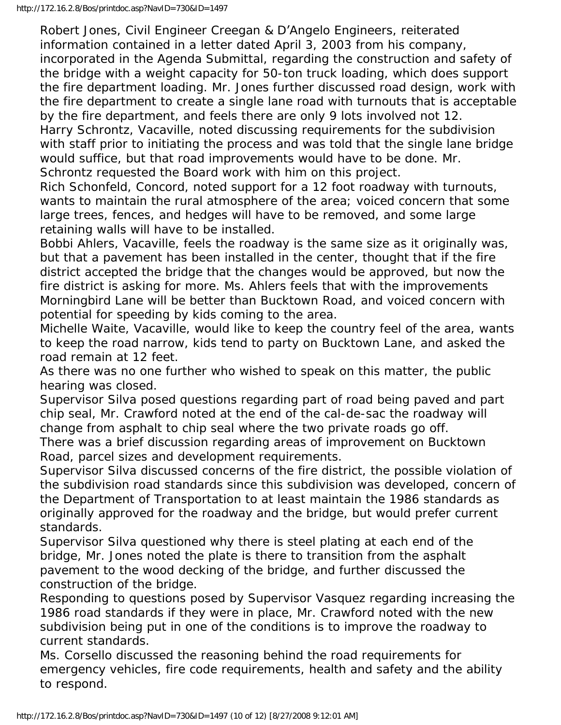Robert Jones, Civil Engineer Creegan & D'Angelo Engineers, reiterated information contained in a letter dated April 3, 2003 from his company, incorporated in the Agenda Submittal, regarding the construction and safety of the bridge with a weight capacity for 50-ton truck loading, which does support the fire department loading. Mr. Jones further discussed road design, work with the fire department to create a single lane road with turnouts that is acceptable by the fire department, and feels there are only 9 lots involved not 12.

Harry Schrontz, Vacaville, noted discussing requirements for the subdivision with staff prior to initiating the process and was told that the single lane bridge would suffice, but that road improvements would have to be done. Mr. Schrontz requested the Board work with him on this project.

Rich Schonfeld, Concord, noted support for a 12 foot roadway with turnouts, wants to maintain the rural atmosphere of the area; voiced concern that some large trees, fences, and hedges will have to be removed, and some large retaining walls will have to be installed.

Bobbi Ahlers, Vacaville, feels the roadway is the same size as it originally was, but that a pavement has been installed in the center, thought that if the fire district accepted the bridge that the changes would be approved, but now the fire district is asking for more. Ms. Ahlers feels that with the improvements Morningbird Lane will be better than Bucktown Road, and voiced concern with potential for speeding by kids coming to the area.

Michelle Waite, Vacaville, would like to keep the country feel of the area, wants to keep the road narrow, kids tend to party on Bucktown Lane, and asked the road remain at 12 feet.

As there was no one further who wished to speak on this matter, the public hearing was closed.

Supervisor Silva posed questions regarding part of road being paved and part chip seal, Mr. Crawford noted at the end of the cal-de-sac the roadway will change from asphalt to chip seal where the two private roads go off.

There was a brief discussion regarding areas of improvement on Bucktown Road, parcel sizes and development requirements.

Supervisor Silva discussed concerns of the fire district, the possible violation of the subdivision road standards since this subdivision was developed, concern of the Department of Transportation to at least maintain the 1986 standards as originally approved for the roadway and the bridge, but would prefer current standards.

Supervisor Silva questioned why there is steel plating at each end of the bridge, Mr. Jones noted the plate is there to transition from the asphalt pavement to the wood decking of the bridge, and further discussed the construction of the bridge.

Responding to questions posed by Supervisor Vasquez regarding increasing the 1986 road standards if they were in place, Mr. Crawford noted with the new subdivision being put in one of the conditions is to improve the roadway to current standards.

Ms. Corsello discussed the reasoning behind the road requirements for emergency vehicles, fire code requirements, health and safety and the ability to respond.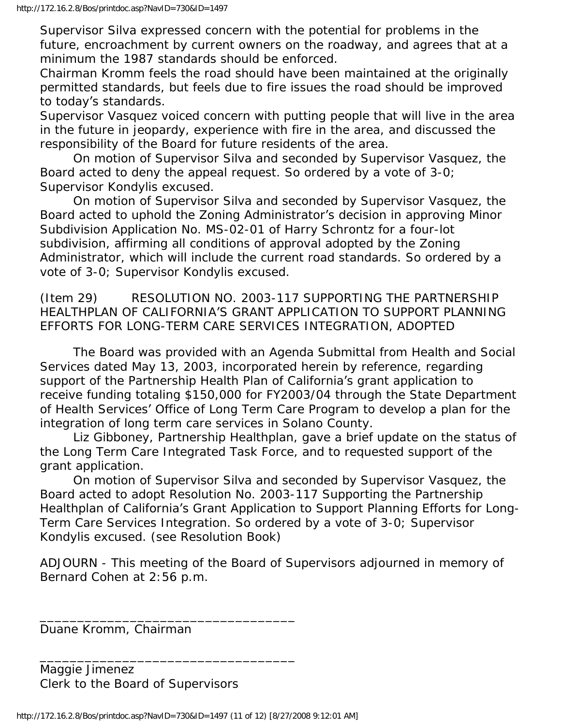Supervisor Silva expressed concern with the potential for problems in the future, encroachment by current owners on the roadway, and agrees that at a minimum the 1987 standards should be enforced.

Chairman Kromm feels the road should have been maintained at the originally permitted standards, but feels due to fire issues the road should be improved to today's standards.

Supervisor Vasquez voiced concern with putting people that will live in the area in the future in jeopardy, experience with fire in the area, and discussed the responsibility of the Board for future residents of the area.

 On motion of Supervisor Silva and seconded by Supervisor Vasquez, the Board acted to deny the appeal request. So ordered by a vote of 3-0; Supervisor Kondylis excused.

 On motion of Supervisor Silva and seconded by Supervisor Vasquez, the Board acted to uphold the Zoning Administrator's decision in approving Minor Subdivision Application No. MS-02-01 of Harry Schrontz for a four-lot subdivision, affirming all conditions of approval adopted by the Zoning Administrator, which will include the current road standards. So ordered by a vote of 3-0; Supervisor Kondylis excused.

(Item 29) RESOLUTION NO. 2003-117 SUPPORTING THE PARTNERSHIP HEALTHPLAN OF CALIFORNIA'S GRANT APPLICATION TO SUPPORT PLANNING EFFORTS FOR LONG-TERM CARE SERVICES INTEGRATION, ADOPTED

 The Board was provided with an Agenda Submittal from Health and Social Services dated May 13, 2003, incorporated herein by reference, regarding support of the Partnership Health Plan of California's grant application to receive funding totaling \$150,000 for FY2003/04 through the State Department of Health Services' Office of Long Term Care Program to develop a plan for the integration of long term care services in Solano County.

 Liz Gibboney, Partnership Healthplan, gave a brief update on the status of the Long Term Care Integrated Task Force, and to requested support of the grant application.

 On motion of Supervisor Silva and seconded by Supervisor Vasquez, the Board acted to adopt Resolution No. 2003-117 Supporting the Partnership Healthplan of California's Grant Application to Support Planning Efforts for Long-Term Care Services Integration. So ordered by a vote of 3-0; Supervisor Kondylis excused. (see Resolution Book)

ADJOURN - This meeting of the Board of Supervisors adjourned in memory of Bernard Cohen at 2:56 p.m.

Duane Kromm, Chairman

Maggie Jimenez Clerk to the Board of Supervisors

\_\_\_\_\_\_\_\_\_\_\_\_\_\_\_\_\_\_\_\_\_\_\_\_\_\_\_\_\_\_\_\_\_\_

\_\_\_\_\_\_\_\_\_\_\_\_\_\_\_\_\_\_\_\_\_\_\_\_\_\_\_\_\_\_\_\_\_\_